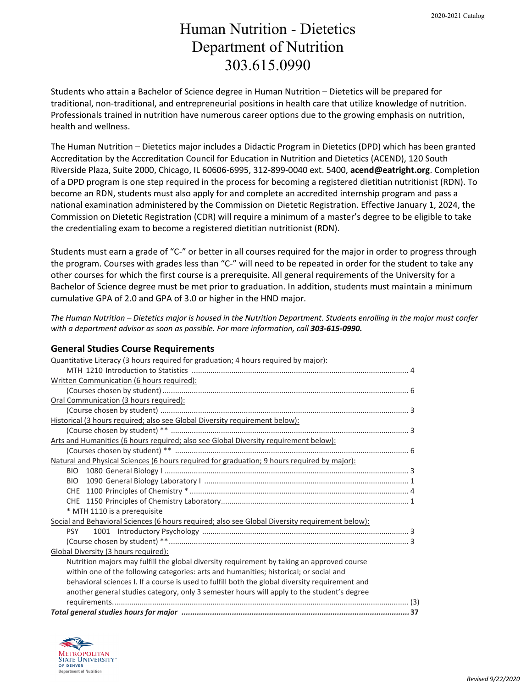## Human Nutrition - Dietetics Department of Nutrition 303.615.0990

Students who attain a Bachelor of Science degree in Human Nutrition – Dietetics will be prepared for traditional, non-traditional, and entrepreneurial positions in health care that utilize knowledge of nutrition. Professionals trained in nutrition have numerous career options due to the growing emphasis on nutrition, health and wellness.

The Human Nutrition – Dietetics major includes a Didactic Program in Dietetics (DPD) which has been granted Accreditation by the Accreditation Council for Education in Nutrition and Dietetics (ACEND), 120 South Riverside Plaza, Suite 2000, Chicago, IL 60606-6995, 312-899-0040 ext. 5400, **acend@eatright.org**. Completion of a DPD program is one step required in the process for becoming a registered dietitian nutritionist (RDN). To become an RDN, students must also apply for and complete an accredited internship program and pass a national examination administered by the Commission on Dietetic Registration. Effective January 1, 2024, the Commission on Dietetic Registration (CDR) will require a minimum of a master's degree to be eligible to take the credentialing exam to become a registered dietitian nutritionist (RDN).

Students must earn a grade of "C-" or better in all courses required for the major in order to progress through the program. Courses with grades less than "C-" will need to be repeated in order for the student to take any other courses for which the first course is a prerequisite. All general requirements of the University for a Bachelor of Science degree must be met prior to graduation. In addition, students must maintain a minimum cumulative GPA of 2.0 and GPA of 3.0 or higher in the HND major.

*The Human Nutrition – Dietetics major is housed in the Nutrition Department. Students enrolling in the major must confer with a department advisor as soon as possible. For more information, call 303-615-0990.* 

### **General Studies Course Requirements**

| Quantitative Literacy (3 hours required for graduation; 4 hours required by major):             |  |  |  |
|-------------------------------------------------------------------------------------------------|--|--|--|
|                                                                                                 |  |  |  |
| Written Communication (6 hours required):                                                       |  |  |  |
|                                                                                                 |  |  |  |
| Oral Communication (3 hours required):                                                          |  |  |  |
|                                                                                                 |  |  |  |
| Historical (3 hours required; also see Global Diversity requirement below):                     |  |  |  |
|                                                                                                 |  |  |  |
| Arts and Humanities (6 hours required; also see Global Diversity requirement below):            |  |  |  |
|                                                                                                 |  |  |  |
| Natural and Physical Sciences (6 hours required for graduation; 9 hours required by major):     |  |  |  |
|                                                                                                 |  |  |  |
|                                                                                                 |  |  |  |
|                                                                                                 |  |  |  |
|                                                                                                 |  |  |  |
| * MTH 1110 is a prerequisite                                                                    |  |  |  |
| Social and Behavioral Sciences (6 hours required; also see Global Diversity requirement below): |  |  |  |
| <b>PSY</b>                                                                                      |  |  |  |
|                                                                                                 |  |  |  |
| Global Diversity (3 hours required):                                                            |  |  |  |
| Nutrition majors may fulfill the global diversity requirement by taking an approved course      |  |  |  |
| within one of the following categories: arts and humanities; historical; or social and          |  |  |  |
| behavioral sciences I. If a course is used to fulfill both the global diversity requirement and |  |  |  |
| another general studies category, only 3 semester hours will apply to the student's degree      |  |  |  |
|                                                                                                 |  |  |  |
|                                                                                                 |  |  |  |

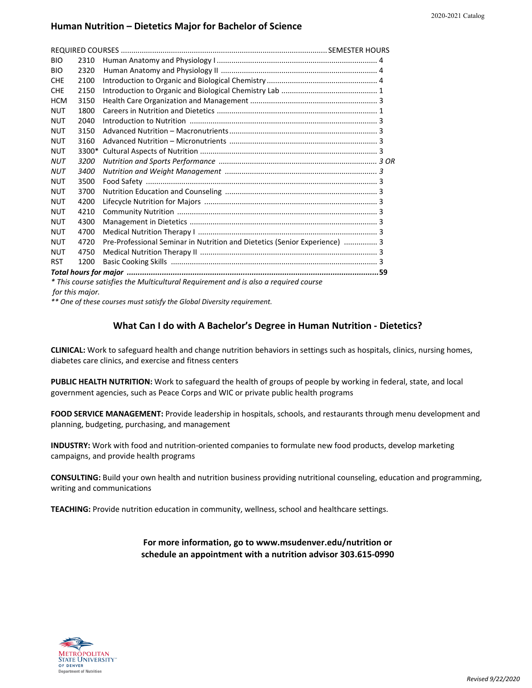#### **Human Nutrition – Dietetics Major for Bachelor of Science**

| <b>BIO</b>                                                                          | 2310  |                                                                            |  |  |
|-------------------------------------------------------------------------------------|-------|----------------------------------------------------------------------------|--|--|
| <b>BIO</b>                                                                          | 2320  |                                                                            |  |  |
| <b>CHE</b>                                                                          | 2100  |                                                                            |  |  |
| <b>CHE</b>                                                                          | 2150  |                                                                            |  |  |
| <b>HCM</b>                                                                          | 3150  |                                                                            |  |  |
| <b>NUT</b>                                                                          | 1800  |                                                                            |  |  |
| <b>NUT</b>                                                                          | 2040  |                                                                            |  |  |
| <b>NUT</b>                                                                          | 3150  |                                                                            |  |  |
| <b>NUT</b>                                                                          | 3160  |                                                                            |  |  |
| <b>NUT</b>                                                                          | 3300* |                                                                            |  |  |
| <b>NUT</b>                                                                          | 3200  |                                                                            |  |  |
| <b>NUT</b>                                                                          | 3400  |                                                                            |  |  |
| <b>NUT</b>                                                                          | 3500  |                                                                            |  |  |
| <b>NUT</b>                                                                          | 3700  |                                                                            |  |  |
| <b>NUT</b>                                                                          | 4200  |                                                                            |  |  |
| <b>NUT</b>                                                                          | 4210  |                                                                            |  |  |
| <b>NUT</b>                                                                          | 4300  |                                                                            |  |  |
| <b>NUT</b>                                                                          | 4700  |                                                                            |  |  |
| <b>NUT</b>                                                                          | 4720  | Pre-Professional Seminar in Nutrition and Dietetics (Senior Experience)  3 |  |  |
| <b>NUT</b>                                                                          | 4750  |                                                                            |  |  |
| <b>RST</b>                                                                          | 1200  |                                                                            |  |  |
|                                                                                     |       |                                                                            |  |  |
| * This course satisfies the Multicultural Requirement and is also a required course |       |                                                                            |  |  |

*for this major.*

*\*\* One of these courses must satisfy the Global Diversity requirement.*

#### **What Can I do with A Bachelor's Degree in Human Nutrition - Dietetics?**

**CLINICAL:** Work to safeguard health and change nutrition behaviors in settings such as hospitals, clinics, nursing homes, diabetes care clinics, and exercise and fitness centers

**PUBLIC HEALTH NUTRITION:** Work to safeguard the health of groups of people by working in federal, state, and local government agencies, such as Peace Corps and WIC or private public health programs

**FOOD SERVICE MANAGEMENT:** Provide leadership in hospitals, schools, and restaurants through menu development and planning, budgeting, purchasing, and management

**INDUSTRY:** Work with food and nutrition-oriented companies to formulate new food products, develop marketing campaigns, and provide health programs

**CONSULTING:** Build your own health and nutrition business providing nutritional counseling, education and programming, writing and communications

**TEACHING:** Provide nutrition education in community, wellness, school and healthcare settings.

#### **For more information, go to www.msudenver.edu/nutrition or schedule an appointment with a nutrition advisor 303.615-0990**